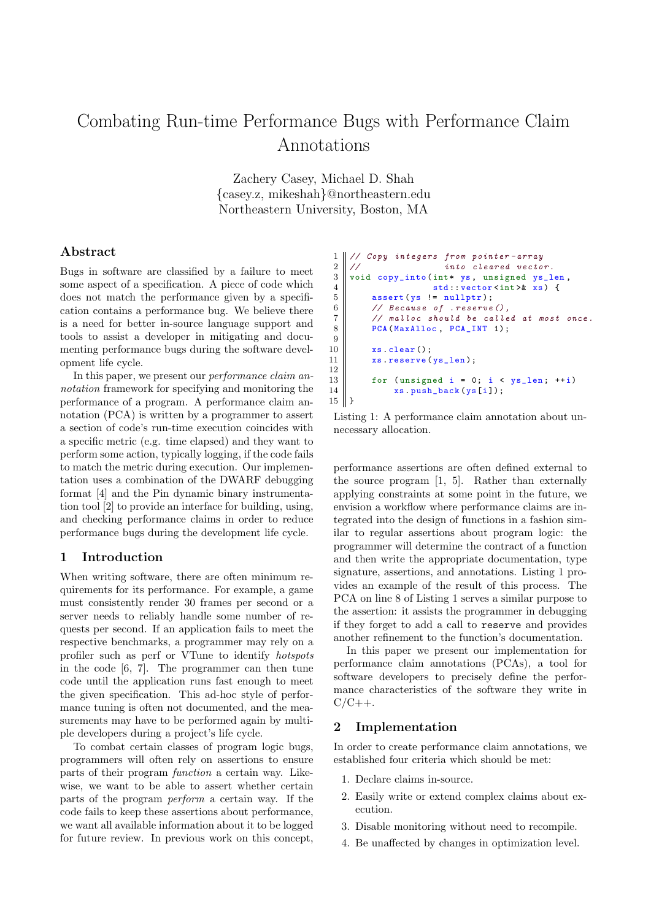# Combating Run-time Performance Bugs with Performance Claim Annotations

Zachery Casey, Michael D. Shah {casey.z, mikeshah}@northeastern.edu Northeastern University, Boston, MA

## Abstract

Bugs in software are classified by a failure to meet some aspect of a specification. A piece of code which does not match the performance given by a specification contains a performance bug. We believe there is a need for better in-source language support and tools to assist a developer in mitigating and documenting performance bugs during the software development life cycle.

In this paper, we present our performance claim annotation framework for specifying and monitoring the performance of a program. A performance claim annotation (PCA) is written by a programmer to assert a section of code's run-time execution coincides with a specific metric (e.g. time elapsed) and they want to perform some action, typically logging, if the code fails to match the metric during execution. Our implementation uses a combination of the DWARF debugging format [\[4\]](#page-2-0) and the Pin dynamic binary instrumentation tool [\[2\]](#page-2-1) to provide an interface for building, using, and checking performance claims in order to reduce performance bugs during the development life cycle.

#### 1 Introduction

When writing software, there are often minimum requirements for its performance. For example, a game must consistently render 30 frames per second or a server needs to reliably handle some number of requests per second. If an application fails to meet the respective benchmarks, a programmer may rely on a profiler such as perf or VTune to identify hotspots in the code [\[6,](#page-2-2) [7\]](#page-2-3). The programmer can then tune code until the application runs fast enough to meet the given specification. This ad-hoc style of performance tuning is often not documented, and the measurements may have to be performed again by multiple developers during a project's life cycle.

To combat certain classes of program logic bugs, programmers will often rely on assertions to ensure parts of their program function a certain way. Likewise, we want to be able to assert whether certain parts of the program perform a certain way. If the code fails to keep these assertions about performance, we want all available information about it to be logged for future review. In previous work on this concept,

```
\begin{array}{c|c} 1 & // \textit{Copy integers from pointer-array} \\ 2 & // \textit{into cleared vector} \end{array}\begin{array}{c|c|c|c} 2 & // & into \ cleared \ vector. \end{array}<br>3 void copy_into(int* ys, unsigned ys_1
     void copy_into (int* ys, unsigned ys_len,
4 \vert std:: vector <int > & xs) {<br>5 \vert assert (ys != nullptr);
5 assert (ys != nullptr );
6 // Because of . reserve () ,
           7 // malloc should be called at most once .
8 \parallel PCA (MaxAlloc, PCA_INT 1);
\alpha10 | xs. clear ();
11 x_s. reserve (y_s<sup>len</sup>);
12
13 for (unsigned i = 0; i < \gamma s len; ++i)
14 \parallel xs. push_back (ys[i]);
15 \parallel }
```
Listing 1: A performance claim annotation about unnecessary allocation.

performance assertions are often defined external to the source program [\[1,](#page-2-4) [5\]](#page-2-5). Rather than externally applying constraints at some point in the future, we envision a workflow where performance claims are integrated into the design of functions in a fashion similar to regular assertions about program logic: the programmer will determine the contract of a function and then write the appropriate documentation, type signature, assertions, and annotations. Listing [1](#page-0-0) provides an example of the result of this process. The PCA on line 8 of Listing [1](#page-0-0) serves a similar purpose to the assertion: it assists the programmer in debugging if they forget to add a call to reserve and provides another refinement to the function's documentation.

In this paper we present our implementation for performance claim annotations (PCAs), a tool for software developers to precisely define the performance characteristics of the software they write in  $C/C_{++}$ .

#### 2 Implementation

In order to create performance claim annotations, we established four criteria which should be met:

- 1. Declare claims in-source.
- 2. Easily write or extend complex claims about execution.
- 3. Disable monitoring without need to recompile.
- 4. Be unaffected by changes in optimization level.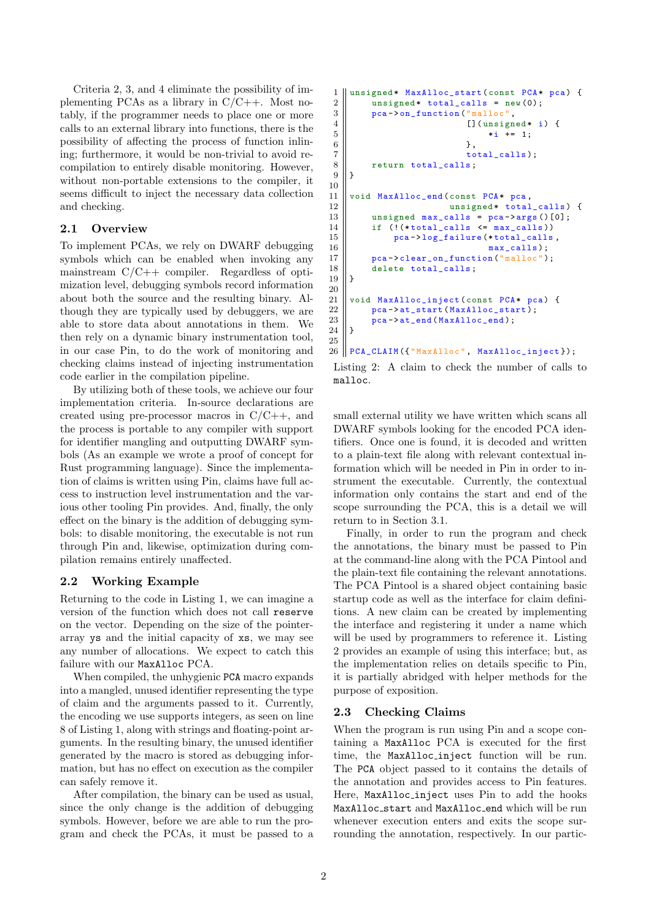Criteria 2, 3, and 4 eliminate the possibility of implementing PCAs as a library in C/C++. Most notably, if the programmer needs to place one or more calls to an external library into functions, there is the possibility of affecting the process of function inlining; furthermore, it would be non-trivial to avoid recompilation to entirely disable monitoring. However, without non-portable extensions to the compiler, it seems difficult to inject the necessary data collection and checking.

## 2.1 Overview

To implement PCAs, we rely on DWARF debugging symbols which can be enabled when invoking any mainstream C/C++ compiler. Regardless of optimization level, debugging symbols record information about both the source and the resulting binary. Although they are typically used by debuggers, we are able to store data about annotations in them. We then rely on a dynamic binary instrumentation tool, in our case Pin, to do the work of monitoring and checking claims instead of injecting instrumentation code earlier in the compilation pipeline.

By utilizing both of these tools, we achieve our four implementation criteria. In-source declarations are created using pre-processor macros in C/C++, and the process is portable to any compiler with support for identifier mangling and outputting DWARF symbols (As an example we wrote a proof of concept for Rust programming language). Since the implementation of claims is written using Pin, claims have full access to instruction level instrumentation and the various other tooling Pin provides. And, finally, the only effect on the binary is the addition of debugging symbols: to disable monitoring, the executable is not run through Pin and, likewise, optimization during compilation remains entirely unaffected.

#### 2.2 Working Example

Returning to the code in Listing [1,](#page-0-0) we can imagine a version of the function which does not call reserve on the vector. Depending on the size of the pointerarray ys and the initial capacity of xs, we may see any number of allocations. We expect to catch this failure with our MaxAlloc PCA.

When compiled, the unhygienic PCA macro expands into a mangled, unused identifier representing the type of claim and the arguments passed to it. Currently, the encoding we use supports integers, as seen on line 8 of Listing [1,](#page-0-0) along with strings and floating-point arguments. In the resulting binary, the unused identifier generated by the macro is stored as debugging information, but has no effect on execution as the compiler can safely remove it.

After compilation, the binary can be used as usual, since the only change is the addition of debugging symbols. However, before we are able to run the program and check the PCAs, it must be passed to a

```
1 unsigned* MaxAlloc_start (const PCA* pca) {<br>2 unsigned* total calls = new(0):
 2 unsigned* total_calls = new (0);<br>
\begin{array}{c} 2 \text{ } \text{ } \text{ } pca->on_function("malloc",
           pca -> on_function ("malloc",
 4 \parallel [] (unsigned * i) {
 \begin{array}{c|cc} 5 & *i & += & 1; \\ 6 & & & \end{array}6 || \, },
 \begin{array}{c} 7 \ 8 \ \end{array} return total_calls;
 \begin{bmatrix} 8 \\ 9 \end{bmatrix} return total_calls;
     9 }
10
11 \parallel void MaxAlloc_end (const PCA* pca,
12 || unsigned* total_calls) {
13 unsigned max_calls = pca->args()[0];<br>14 if (!(*total_calls <= max_calls))
           if (!(*total_calls \le max_calls))15 \parallel pca->log_failure (*total_calls, nax_calls);
                                          max calls):
17 | pca -> clear_on_function ("malloc");
\begin{bmatrix} 18 \\ 19 \end{bmatrix} delete total_calls;
19 }
20
21 void MaxAlloc_inject (const PCA* pca) {<br>22 nca->at start (MaxAlloc_start) :
22 \nvert pca->at_start (MaxAlloc_start);<br>
23 \nvert pca->at_end (MaxAlloc_end);
     pca -> at_end (MaxAlloc\_end);
24 }
25
26 | PCA_CLAIM ({ "MaxAlloc", MaxAlloc_inject});
```


small external utility we have written which scans all DWARF symbols looking for the encoded PCA identifiers. Once one is found, it is decoded and written to a plain-text file along with relevant contextual information which will be needed in Pin in order to instrument the executable. Currently, the contextual information only contains the start and end of the scope surrounding the PCA, this is a detail we will return to in Section [3.1.](#page-2-6)

Finally, in order to run the program and check the annotations, the binary must be passed to Pin at the command-line along with the PCA Pintool and the plain-text file containing the relevant annotations. The PCA Pintool is a shared object containing basic startup code as well as the interface for claim definitions. A new claim can be created by implementing the interface and registering it under a name which will be used by programmers to reference it. Listing [2](#page-1-0) provides an example of using this interface; but, as the implementation relies on details specific to Pin, it is partially abridged with helper methods for the purpose of exposition.

#### 2.3 Checking Claims

When the program is run using Pin and a scope containing a MaxAlloc PCA is executed for the first time, the MaxAlloc\_inject function will be run. The PCA object passed to it contains the details of the annotation and provides access to Pin features. Here, MaxAlloc inject uses Pin to add the hooks MaxAlloc start and MaxAlloc end which will be run whenever execution enters and exits the scope surrounding the annotation, respectively. In our partic